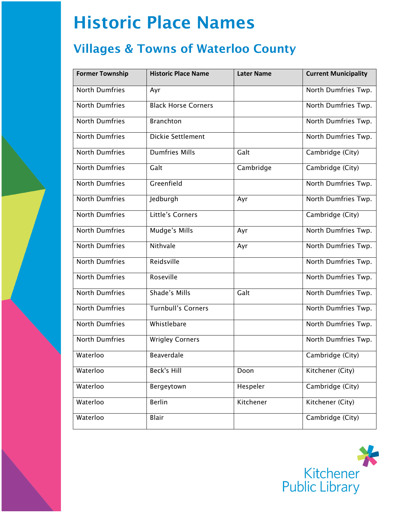## Historic Place Names

## Villages & Towns of Waterloo County

| <b>Former Township</b> | <b>Historic Place Name</b> | <b>Later Name</b> | <b>Current Municipality</b> |
|------------------------|----------------------------|-------------------|-----------------------------|
| <b>North Dumfries</b>  | Ayr                        |                   | North Dumfries Twp.         |
| <b>North Dumfries</b>  | <b>Black Horse Corners</b> |                   | North Dumfries Twp.         |
| <b>North Dumfries</b>  | <b>Branchton</b>           |                   | North Dumfries Twp.         |
| <b>North Dumfries</b>  | <b>Dickie Settlement</b>   |                   | North Dumfries Twp.         |
| <b>North Dumfries</b>  | <b>Dumfries Mills</b>      | Galt              | Cambridge (City)            |
| <b>North Dumfries</b>  | Galt                       | Cambridge         | Cambridge (City)            |
| <b>North Dumfries</b>  | Greenfield                 |                   | North Dumfries Twp.         |
| <b>North Dumfries</b>  | Jedburgh                   | Ayr               | North Dumfries Twp.         |
| <b>North Dumfries</b>  | Little's Corners           |                   | Cambridge (City)            |
| <b>North Dumfries</b>  | Mudge's Mills              | Ayr               | North Dumfries Twp.         |
| <b>North Dumfries</b>  | Nithvale                   | Ayr               | North Dumfries Twp.         |
| <b>North Dumfries</b>  | Reidsville                 |                   | North Dumfries Twp.         |
| <b>North Dumfries</b>  | Roseville                  |                   | North Dumfries Twp.         |
| <b>North Dumfries</b>  | Shade's Mills              | Galt              | North Dumfries Twp.         |
| <b>North Dumfries</b>  | <b>Turnbull's Corners</b>  |                   | North Dumfries Twp.         |
| <b>North Dumfries</b>  | Whistlebare                |                   | North Dumfries Twp.         |
| <b>North Dumfries</b>  | <b>Wrigley Corners</b>     |                   | North Dumfries Twp.         |
| Waterloo               | Beaverdale                 |                   | Cambridge (City)            |
| Waterloo               | <b>Beck's Hill</b>         | Doon              | Kitchener (City)            |
| Waterloo               | Bergeytown                 | Hespeler          | Cambridge (City)            |
| Waterloo               | <b>Berlin</b>              | Kitchener         | Kitchener (City)            |
| Waterloo               | Blair                      |                   | Cambridge (City)            |

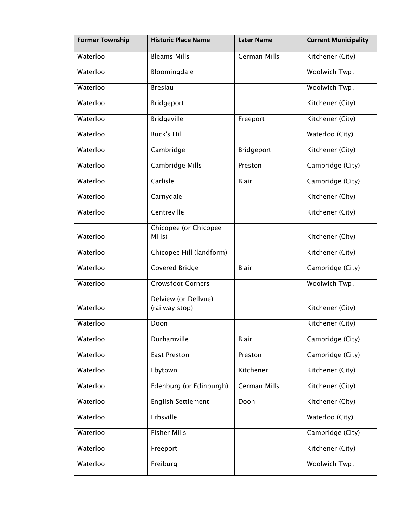| <b>Former Township</b> | <b>Historic Place Name</b>             | <b>Later Name</b>   | <b>Current Municipality</b> |
|------------------------|----------------------------------------|---------------------|-----------------------------|
| Waterloo               | <b>Bleams Mills</b>                    | <b>German Mills</b> | Kitchener (City)            |
| Waterloo               | Bloomingdale                           |                     | Woolwich Twp.               |
| Waterloo               | <b>Breslau</b>                         |                     | Woolwich Twp.               |
| Waterloo               | Bridgeport                             |                     | Kitchener (City)            |
| Waterloo               | <b>Bridgeville</b>                     | Freeport            | Kitchener (City)            |
| Waterloo               | <b>Buck's Hill</b>                     |                     | Waterloo (City)             |
| Waterloo               | Cambridge                              | Bridgeport          | Kitchener (City)            |
| Waterloo               | Cambridge Mills                        | Preston             | Cambridge (City)            |
| Waterloo               | Carlisle                               | Blair               | Cambridge (City)            |
| Waterloo               | Carnydale                              |                     | Kitchener (City)            |
| Waterloo               | Centreville                            |                     | Kitchener (City)            |
| Waterloo               | Chicopee (or Chicopee<br>Mills)        |                     | Kitchener (City)            |
| Waterloo               | Chicopee Hill (landform)               |                     | Kitchener (City)            |
| Waterloo               | Covered Bridge                         | <b>Blair</b>        | Cambridge (City)            |
| Waterloo               | <b>Crowsfoot Corners</b>               |                     | Woolwich Twp.               |
| Waterloo               | Delview (or Dellvue)<br>(railway stop) |                     | Kitchener (City)            |
| Waterloo               | Doon                                   |                     | Kitchener (City)            |
| Waterloo               | Durhamville                            | Blair               | Cambridge (City)            |
| Waterloo               | <b>East Preston</b>                    | Preston             | Cambridge (City)            |
| Waterloo               | Ebytown                                | Kitchener           | Kitchener (City)            |
| Waterloo               | Edenburg (or Edinburgh)                | <b>German Mills</b> | Kitchener (City)            |
| Waterloo               | <b>English Settlement</b>              | Doon                | Kitchener (City)            |
| Waterloo               | Erbsville                              |                     | Waterloo (City)             |
| Waterloo               | <b>Fisher Mills</b>                    |                     | Cambridge (City)            |
| Waterloo               | Freeport                               |                     | Kitchener (City)            |
| Waterloo               | Freiburg                               |                     | Woolwich Twp.               |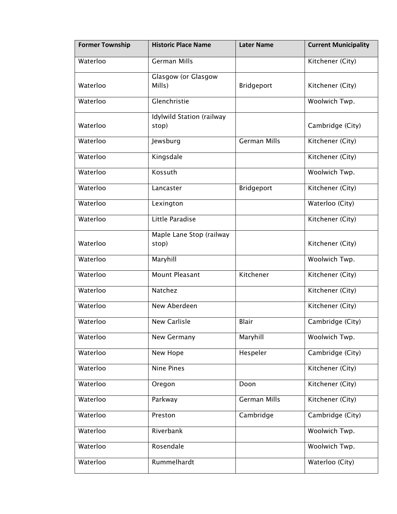| <b>Former Township</b> | <b>Historic Place Name</b>         | <b>Later Name</b>   | <b>Current Municipality</b> |
|------------------------|------------------------------------|---------------------|-----------------------------|
| Waterloo               | German Mills                       |                     | Kitchener (City)            |
| Waterloo               | Glasgow (or Glasgow<br>Mills)      | Bridgeport          | Kitchener (City)            |
| Waterloo               | Glenchristie                       |                     | Woolwich Twp.               |
| Waterloo               | Idylwild Station (railway<br>stop) |                     | Cambridge (City)            |
| Waterloo               | Jewsburg                           | <b>German Mills</b> | Kitchener (City)            |
| Waterloo               | Kingsdale                          |                     | Kitchener (City)            |
| Waterloo               | Kossuth                            |                     | Woolwich Twp.               |
| Waterloo               | Lancaster                          | Bridgeport          | Kitchener (City)            |
| Waterloo               | Lexington                          |                     | Waterloo (City)             |
| Waterloo               | Little Paradise                    |                     | Kitchener (City)            |
| Waterloo               | Maple Lane Stop (railway<br>stop)  |                     | Kitchener (City)            |
| Waterloo               | Maryhill                           |                     | Woolwich Twp.               |
| Waterloo               | <b>Mount Pleasant</b>              | Kitchener           | Kitchener (City)            |
| Waterloo               | Natchez                            |                     | Kitchener (City)            |
| Waterloo               | New Aberdeen                       |                     | Kitchener (City)            |
| Waterloo               | <b>New Carlisle</b>                | Blair               | Cambridge (City)            |
| Waterloo               | New Germany                        | Maryhill            | Woolwich Twp.               |
| Waterloo               | New Hope                           | Hespeler            | Cambridge (City)            |
| Waterloo               | Nine Pines                         |                     | Kitchener (City)            |
| Waterloo               | Oregon                             | Doon                | Kitchener (City)            |
| Waterloo               | Parkway                            | <b>German Mills</b> | Kitchener (City)            |
| Waterloo               | Preston                            | Cambridge           | Cambridge (City)            |
| Waterloo               | Riverbank                          |                     | Woolwich Twp.               |
| Waterloo               | Rosendale                          |                     | Woolwich Twp.               |
| Waterloo               | Rummelhardt                        |                     | Waterloo (City)             |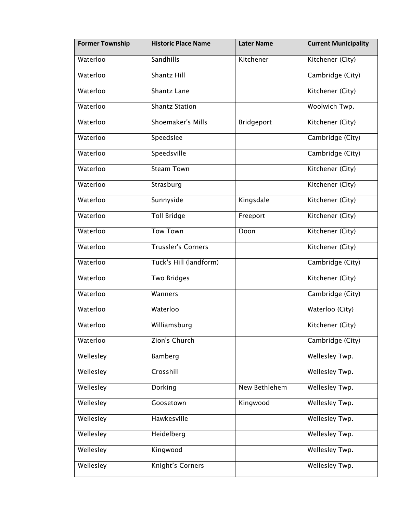| <b>Former Township</b> | <b>Historic Place Name</b> | <b>Later Name</b> | <b>Current Municipality</b> |
|------------------------|----------------------------|-------------------|-----------------------------|
| Waterloo               | Sandhills                  | Kitchener         | Kitchener (City)            |
| Waterloo               | Shantz Hill                |                   | Cambridge (City)            |
| Waterloo               | Shantz Lane                |                   | Kitchener (City)            |
| Waterloo               | <b>Shantz Station</b>      |                   | Woolwich Twp.               |
| Waterloo               | Shoemaker's Mills          | Bridgeport        | Kitchener (City)            |
| Waterloo               | Speedslee                  |                   | Cambridge (City)            |
| Waterloo               | Speedsville                |                   | Cambridge (City)            |
| Waterloo               | <b>Steam Town</b>          |                   | Kitchener (City)            |
| Waterloo               | Strasburg                  |                   | Kitchener (City)            |
| Waterloo               | Sunnyside                  | Kingsdale         | Kitchener (City)            |
| Waterloo               | <b>Toll Bridge</b>         | Freeport          | Kitchener (City)            |
| Waterloo               | <b>Tow Town</b>            | Doon              | Kitchener (City)            |
| Waterloo               | <b>Trussler's Corners</b>  |                   | Kitchener (City)            |
| Waterloo               | Tuck's Hill (landform)     |                   | Cambridge (City)            |
| Waterloo               | Two Bridges                |                   | Kitchener (City)            |
| Waterloo               | Wanners                    |                   | Cambridge (City)            |
| Waterloo               | Waterloo                   |                   | Waterloo (City)             |
| Waterloo               | Williamsburg               |                   | Kitchener (City)            |
| Waterloo               | Zion's Church              |                   | Cambridge (City)            |
| Wellesley              | Bamberg                    |                   | Wellesley Twp.              |
| Wellesley              | Crosshill                  |                   | Wellesley Twp.              |
| Wellesley              | Dorking                    | New Bethlehem     | Wellesley Twp.              |
| Wellesley              | Goosetown                  | Kingwood          | Wellesley Twp.              |
| Wellesley              | Hawkesville                |                   | Wellesley Twp.              |
| Wellesley              | Heidelberg                 |                   | Wellesley Twp.              |
| Wellesley              | Kingwood                   |                   | Wellesley Twp.              |
| Wellesley              | Knight's Corners           |                   | Wellesley Twp.              |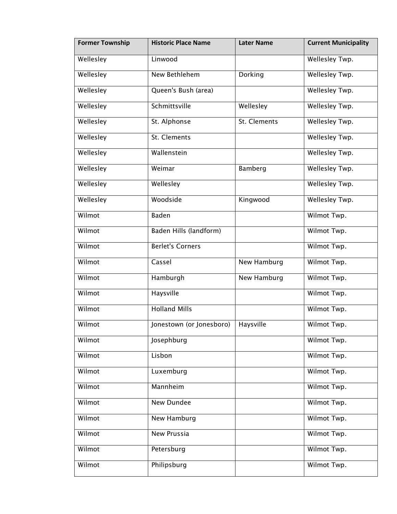| <b>Former Township</b> | <b>Historic Place Name</b> | <b>Later Name</b> | <b>Current Municipality</b> |
|------------------------|----------------------------|-------------------|-----------------------------|
| Wellesley              | Linwood                    |                   | Wellesley Twp.              |
| Wellesley              | New Bethlehem              | Dorking           | Wellesley Twp.              |
| Wellesley              | Queen's Bush (area)        |                   | Wellesley Twp.              |
| Wellesley              | Schmittsville              | Wellesley         | Wellesley Twp.              |
| Wellesley              | St. Alphonse               | St. Clements      | Wellesley Twp.              |
| Wellesley              | St. Clements               |                   | Wellesley Twp.              |
| Wellesley              | Wallenstein                |                   | Wellesley Twp.              |
| Wellesley              | Weimar                     | Bamberg           | Wellesley Twp.              |
| Wellesley              | Wellesley                  |                   | Wellesley Twp.              |
| Wellesley              | Woodside                   | Kingwood          | Wellesley Twp.              |
| Wilmot                 | Baden                      |                   | Wilmot Twp.                 |
| Wilmot                 | Baden Hills (landform)     |                   | Wilmot Twp.                 |
| Wilmot                 | <b>Berlet's Corners</b>    |                   | Wilmot Twp.                 |
| Wilmot                 | Cassel                     | New Hamburg       | Wilmot Twp.                 |
| Wilmot                 | Hamburgh                   | New Hamburg       | Wilmot Twp.                 |
| Wilmot                 | Haysville                  |                   | Wilmot Twp.                 |
| Wilmot                 | <b>Holland Mills</b>       |                   | Wilmot Twp.                 |
| Wilmot                 | Jonestown (or Jonesboro)   | Haysville         | Wilmot Twp.                 |
| Wilmot                 | Josephburg                 |                   | Wilmot Twp.                 |
| Wilmot                 | Lisbon                     |                   | Wilmot Twp.                 |
| Wilmot                 | Luxemburg                  |                   | Wilmot Twp.                 |
| Wilmot                 | Mannheim                   |                   | Wilmot Twp.                 |
| Wilmot                 | <b>New Dundee</b>          |                   | Wilmot Twp.                 |
| Wilmot                 | New Hamburg                |                   | Wilmot Twp.                 |
| Wilmot                 | New Prussia                |                   | Wilmot Twp.                 |
| Wilmot                 | Petersburg                 |                   | Wilmot Twp.                 |
| Wilmot                 | Philipsburg                |                   | Wilmot Twp.                 |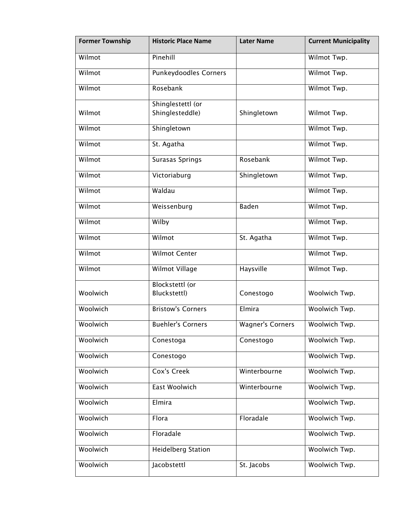| <b>Former Township</b> | <b>Historic Place Name</b>   | <b>Later Name</b>       | <b>Current Municipality</b> |
|------------------------|------------------------------|-------------------------|-----------------------------|
| Wilmot                 | Pinehill                     |                         | Wilmot Twp.                 |
| Wilmot                 | <b>Punkeydoodles Corners</b> |                         | Wilmot Twp.                 |
| Wilmot                 | Rosebank                     |                         | Wilmot Twp.                 |
|                        | Shinglestettl (or            |                         |                             |
| Wilmot                 | Shinglesteddle)              | Shingletown             | Wilmot Twp.                 |
| Wilmot                 | Shingletown                  |                         | Wilmot Twp.                 |
| Wilmot                 | St. Agatha                   |                         | Wilmot Twp.                 |
| Wilmot                 | <b>Surasas Springs</b>       | Rosebank                | Wilmot Twp.                 |
| Wilmot                 | Victoriaburg                 | Shingletown             | Wilmot Twp.                 |
| Wilmot                 | Waldau                       |                         | Wilmot Twp.                 |
| Wilmot                 | Weissenburg                  | Baden                   | Wilmot Twp.                 |
| Wilmot                 | Wilby                        |                         | Wilmot Twp.                 |
| Wilmot                 | Wilmot                       | St. Agatha              | Wilmot Twp.                 |
| Wilmot                 | <b>Wilmot Center</b>         |                         | Wilmot Twp.                 |
| Wilmot                 | Wilmot Village               | Haysville               | Wilmot Twp.                 |
|                        | Blockstettl (or              |                         |                             |
| Woolwich               | Bluckstettl)                 | Conestogo               | Woolwich Twp.               |
| Woolwich               | <b>Bristow's Corners</b>     | Elmira                  | Woolwich Twp.               |
| Woolwich               | <b>Buehler's Corners</b>     | <b>Wagner's Corners</b> | Woolwich Twp.               |
| Woolwich               | Conestoga                    | Conestogo               | Woolwich Twp.               |
| Woolwich               | Conestogo                    |                         | Woolwich Twp.               |
| Woolwich               | Cox's Creek                  | Winterbourne            | Woolwich Twp.               |
| Woolwich               | East Woolwich                | Winterbourne            | Woolwich Twp.               |
| Woolwich               | Elmira                       |                         | Woolwich Twp.               |
| Woolwich               | Flora                        | Floradale               | Woolwich Twp.               |
| Woolwich               | Floradale                    |                         | Woolwich Twp.               |
| Woolwich               | <b>Heidelberg Station</b>    |                         | Woolwich Twp.               |
| Woolwich               | Jacobstettl                  | St. Jacobs              | Woolwich Twp.               |